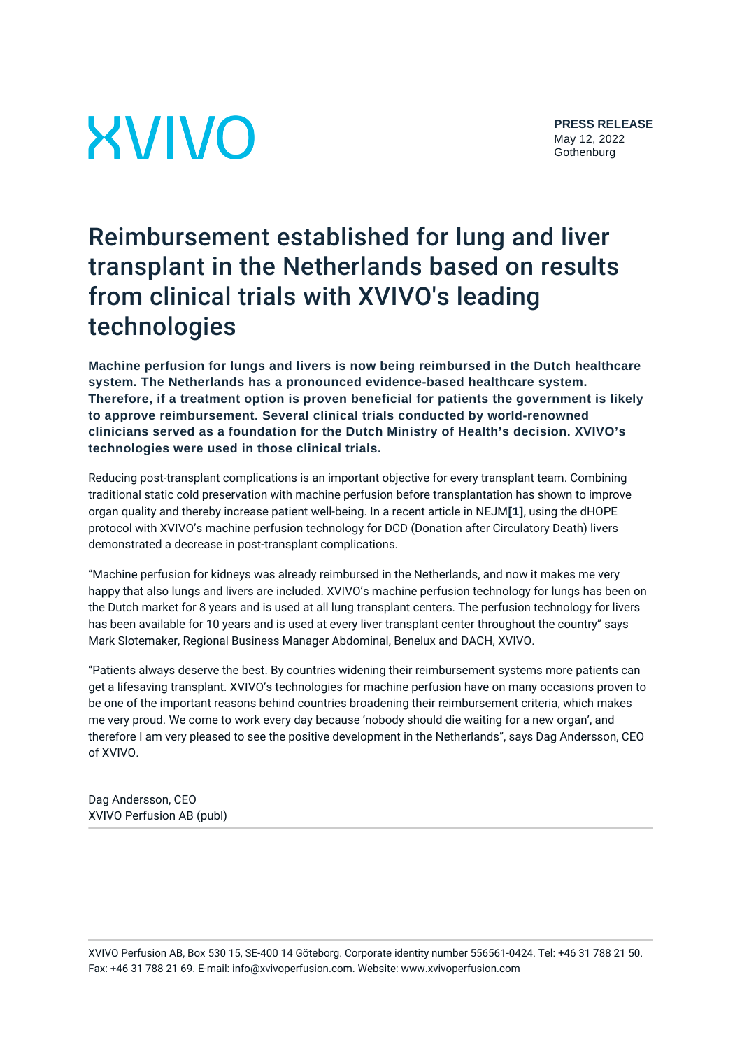# **XVIVO**

## Reimbursement established for lung and liver transplant in the Netherlands based on results from clinical trials with XVIVO's leading technologies

**Machine perfusion for lungs and livers is now being reimbursed in the Dutch healthcare system. The Netherlands has a pronounced evidence-based healthcare system. Therefore, if a treatment option is proven beneficial for patients the government is likely to approve reimbursement. Several clinical trials conducted by world-renowned clinicians served as a foundation for the Dutch Ministry of Health's decision. XVIVO's technologies were used in those clinical trials.**

Reducing post-transplant complications is an important objective for every transplant team. Combining traditional static cold preservation with machine perfusion before transplantation has shown to improve organ quality and thereby increase patient well-being. In a recent article in NEJM**[\[1\]](http://#_ftn1)**, using the dHOPE protocol with XVIVO's machine perfusion technology for DCD (Donation after Circulatory Death) livers demonstrated a decrease in post-transplant complications.

"Machine perfusion for kidneys was already reimbursed in the Netherlands, and now it makes me very happy that also lungs and livers are included. XVIVO's machine perfusion technology for lungs has been on the Dutch market for 8 years and is used at all lung transplant centers. The perfusion technology for livers has been available for 10 years and is used at every liver transplant center throughout the country" says Mark Slotemaker, Regional Business Manager Abdominal, Benelux and DACH, XVIVO.

"Patients always deserve the best. By countries widening their reimbursement systems more patients can get a lifesaving transplant. XVIVO's technologies for machine perfusion have on many occasions proven to be one of the important reasons behind countries broadening their reimbursement criteria, which makes me very proud. We come to work every day because 'nobody should die waiting for a new organ', and therefore I am very pleased to see the positive development in the Netherlands", says Dag Andersson, CEO of XVIVO.

Dag Andersson, CEO XVIVO Perfusion AB (publ)

XVIVO Perfusion AB, Box 530 15, SE-400 14 Göteborg. Corporate identity number 556561-0424. Tel: +46 31 788 21 50. Fax: +46 31 788 21 69. E-mail: info@xvivoperfusion.com. Website: www.xvivoperfusion.com